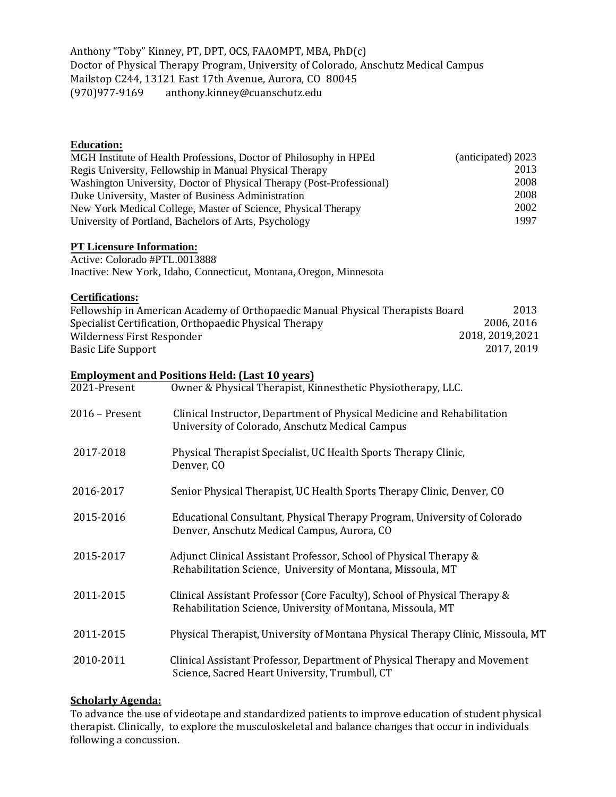Anthony "Toby" Kinney, PT, DPT, OCS, FAAOMPT, MBA, PhD(c) Doctor of Physical Therapy Program, University of Colorado, Anschutz Medical Campus Mailstop C244, 13121 East 17th Avenue, Aurora, CO 80045<br>(970)977-9169 anthony.kinney@cuanschutz.edu anthony.kinney@cuanschutz.edu

### **Education:**

| MGH Institute of Health Professions, Doctor of Philosophy in HPEd     | (anticipated) 2023 |
|-----------------------------------------------------------------------|--------------------|
| Regis University, Fellowship in Manual Physical Therapy               | 2013               |
| Washington University, Doctor of Physical Therapy (Post-Professional) | 2008               |
| Duke University, Master of Business Administration                    | 2008               |
| New York Medical College, Master of Science, Physical Therapy         | 2002               |
| University of Portland, Bachelors of Arts, Psychology                 | 1997               |

## **PT Licensure Information:**

Active: Colorado #PTL.0013888 Inactive: New York, Idaho, Connecticut, Montana, Oregon, Minnesota

## **Certifications:**

| Fellowship in American Academy of Orthopaedic Manual Physical Therapists Board | 2013             |
|--------------------------------------------------------------------------------|------------------|
| Specialist Certification, Orthopaedic Physical Therapy                         | 2006, 2016       |
| Wilderness First Responder                                                     | 2018, 2019, 2021 |
| Basic Life Support                                                             | 2017, 2019       |

# **Employment and Positions Held: (Last 10 years)**

| 2021-Present   | Owner & Physical Therapist, Kinnesthetic Physiotherapy, LLC.                                                                             |
|----------------|------------------------------------------------------------------------------------------------------------------------------------------|
| 2016 - Present | Clinical Instructor, Department of Physical Medicine and Rehabilitation<br>University of Colorado, Anschutz Medical Campus               |
| 2017-2018      | Physical Therapist Specialist, UC Health Sports Therapy Clinic,<br>Denver, CO                                                            |
| 2016-2017      | Senior Physical Therapist, UC Health Sports Therapy Clinic, Denver, CO                                                                   |
| 2015-2016      | Educational Consultant, Physical Therapy Program, University of Colorado<br>Denver, Anschutz Medical Campus, Aurora, CO                  |
| 2015-2017      | Adjunct Clinical Assistant Professor, School of Physical Therapy &<br>Rehabilitation Science, University of Montana, Missoula, MT        |
| 2011-2015      | Clinical Assistant Professor (Core Faculty), School of Physical Therapy &<br>Rehabilitation Science, University of Montana, Missoula, MT |
| 2011-2015      | Physical Therapist, University of Montana Physical Therapy Clinic, Missoula, MT                                                          |
| 2010-2011      | Clinical Assistant Professor, Department of Physical Therapy and Movement<br>Science, Sacred Heart University, Trumbull, CT              |

# **Scholarly Agenda:**

To advance the use of videotape and standardized patients to improve education of student physical therapist. Clinically, to explore the musculoskeletal and balance changes that occur in individuals following a concussion.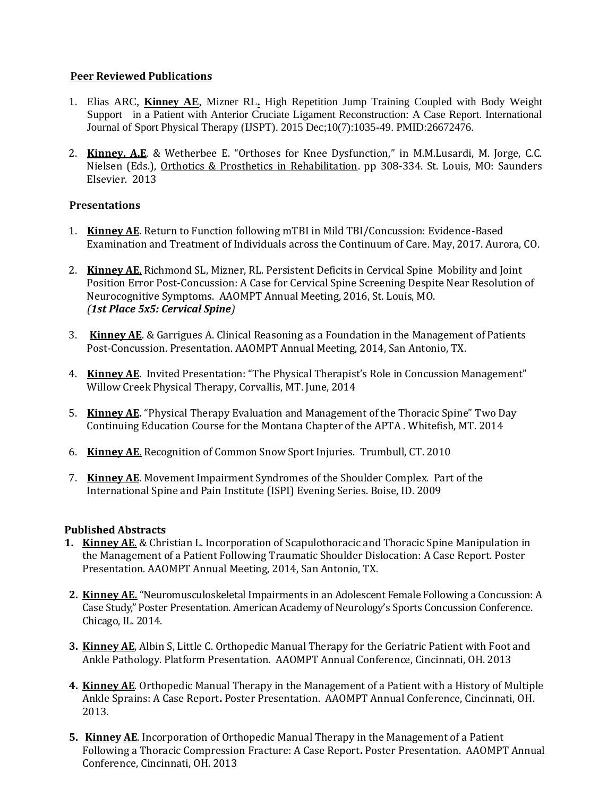## **Peer Reviewed Publications**

- 1. Elias ARC, **Kinney AE**, Mizner RL**.** High Repetition Jump Training Coupled with Body Weight Support in a Patient with Anterior Cruciate Ligament Reconstruction: A Case Report. International Journal of Sport Physical Therapy (IJSPT). 2015 Dec;10(7):1035-49. PMID:26672476.
- 2. **Kinney, A.E**. & Wetherbee E. "Orthoses for Knee Dysfunction," in M.M.Lusardi, M. Jorge, C.C. Nielsen (Eds.), Orthotics & Prosthetics in Rehabilitation. pp 308-334. St. Louis, MO: Saunders Elsevier. 2013

## **Presentations**

- 1. **Kinney AE.** Return to Function following mTBI in Mild TBI/Concussion: Evidence-Based Examination and Treatment of Individuals across the Continuum of Care. May, 2017. Aurora, CO.
- 2. **Kinney AE**, Richmond SL, Mizner, RL. Persistent Deficits in Cervical Spine Mobility and Joint Position Error Post-Concussion: A Case for Cervical Spine Screening Despite Near Resolution of Neurocognitive Symptoms. AAOMPT Annual Meeting, 2016, St. Louis, MO. *(1st Place 5x5: Cervical Spine)*
- 3. **Kinney AE**. & Garrigues A. Clinical Reasoning as a Foundation in the Management of Patients Post-Concussion. Presentation. AAOMPT Annual Meeting, 2014, San Antonio, TX.
- 4. **Kinney AE**. Invited Presentation: "The Physical Therapist's Role in Concussion Management" Willow Creek Physical Therapy, Corvallis, MT. June, 2014
- 5. **Kinney AE.** "Physical Therapy Evaluation and Management of the Thoracic Spine" Two Day Continuing Education Course for the Montana Chapter of the APTA . Whitefish, MT. 2014
- 6. **Kinney AE**. Recognition of Common Snow Sport Injuries. Trumbull, CT. 2010
- 7. **Kinney AE**. Movement Impairment Syndromes of the Shoulder Complex. Part of the International Spine and Pain Institute (ISPI) Evening Series. Boise, ID. 2009

#### **Published Abstracts**

- **1. Kinney AE**. & Christian L. Incorporation of Scapulothoracic and Thoracic Spine Manipulation in the Management of a Patient Following Traumatic Shoulder Dislocation: A Case Report. Poster Presentation. AAOMPT Annual Meeting, 2014, San Antonio, TX.
- **2. Kinney AE.** "Neuromusculoskeletal Impairments in an Adolescent Female Following a Concussion: A Case Study," Poster Presentation. American Academy of Neurology's Sports Concussion Conference. Chicago, IL. 2014.
- **3. Kinney AE**, Albin S, Little C. Orthopedic Manual Therapy for the Geriatric Patient with Foot and Ankle Pathology. Platform Presentation. AAOMPT Annual Conference, Cincinnati, OH. 2013
- **4. Kinney AE**. Orthopedic Manual Therapy in the Management of a Patient with a History of Multiple Ankle Sprains: A Case Report**.** Poster Presentation. AAOMPT Annual Conference, Cincinnati, OH. 2013.
- **5. Kinney AE**. Incorporation of Orthopedic Manual Therapy in the Management of a Patient Following a Thoracic Compression Fracture: A Case Report**.** Poster Presentation. AAOMPT Annual Conference, Cincinnati, OH. 2013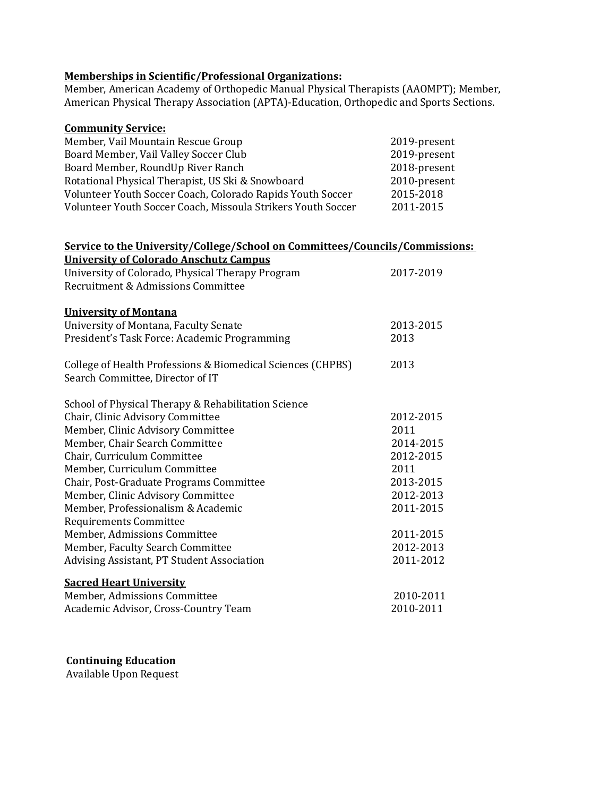#### **Memberships in Scientific/Professional Organizations:**

Member, American Academy of Orthopedic Manual Physical Therapists (AAOMPT); Member, American Physical Therapy Association (APTA)-Education, Orthopedic and Sports Sections.

| <b>Community Service:</b>                                                    |              |
|------------------------------------------------------------------------------|--------------|
| Member, Vail Mountain Rescue Group                                           | 2019-present |
| Board Member, Vail Valley Soccer Club                                        | 2019-present |
| Board Member, RoundUp River Ranch                                            | 2018-present |
| Rotational Physical Therapist, US Ski & Snowboard                            | 2010-present |
| Volunteer Youth Soccer Coach, Colorado Rapids Youth Soccer                   | 2015-2018    |
| Volunteer Youth Soccer Coach, Missoula Strikers Youth Soccer                 | 2011-2015    |
|                                                                              |              |
| Service to the University/College/School on Committees/Councils/Commissions: |              |
| <b>University of Colorado Anschutz Campus</b>                                |              |
| University of Colorado, Physical Therapy Program                             | 2017-2019    |
| Recruitment & Admissions Committee                                           |              |
|                                                                              |              |
| <b>University of Montana</b>                                                 |              |
| University of Montana, Faculty Senate                                        | 2013-2015    |
| President's Task Force: Academic Programming                                 | 2013         |
| College of Health Professions & Biomedical Sciences (CHPBS)                  | 2013         |
| Search Committee, Director of IT                                             |              |
|                                                                              |              |
| School of Physical Therapy & Rehabilitation Science                          |              |
| Chair, Clinic Advisory Committee                                             | 2012-2015    |
| Member, Clinic Advisory Committee                                            | 2011         |
| Member, Chair Search Committee                                               | 2014-2015    |
| Chair, Curriculum Committee                                                  | 2012-2015    |
| Member, Curriculum Committee                                                 | 2011         |
| Chair, Post-Graduate Programs Committee                                      | 2013-2015    |
| Member, Clinic Advisory Committee                                            | 2012-2013    |
| Member, Professionalism & Academic                                           | 2011-2015    |
| Requirements Committee                                                       |              |
| Member, Admissions Committee                                                 | 2011-2015    |
| Member, Faculty Search Committee                                             | 2012-2013    |
| Advising Assistant, PT Student Association                                   | 2011-2012    |
| <b>Sacred Heart University</b>                                               |              |
| Member, Admissions Committee                                                 | 2010-2011    |
| Academic Advisor, Cross-Country Team                                         | 2010-2011    |
|                                                                              |              |

# **Continuing Education**

Available Upon Request